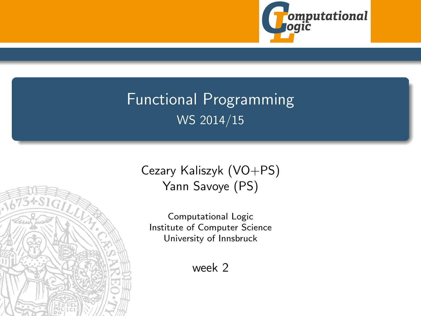

# <span id="page-0-0"></span>Functional Programming WS 2014/15



Computational Logic Institute of Computer Science University of Innsbruck

week 2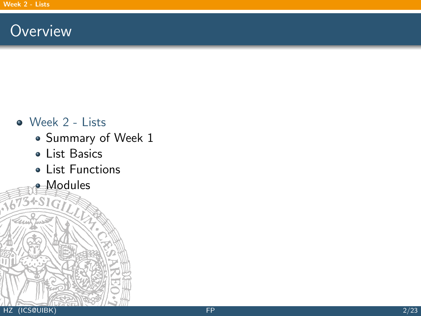### <span id="page-1-0"></span>**Overview**

#### • [Week 2 - Lists](#page-1-0)

- [Summary of Week 1](#page-2-0)
- [List Basics](#page-13-0)
- [List Functions](#page-18-0)
- **[Modules](#page-43-0)**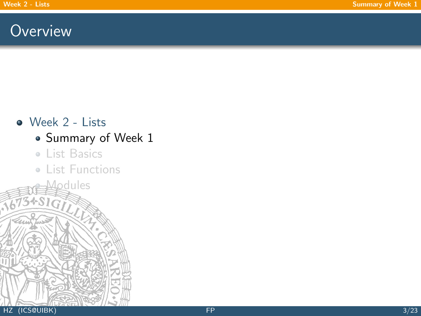### <span id="page-2-0"></span>**Overview**

#### • [Week 2 - Lists](#page-1-0)

### • [Summary of Week 1](#page-2-0)

[List Basics](#page-13-0)

[Modules](#page-43-0)

**• [List Functions](#page-18-0)**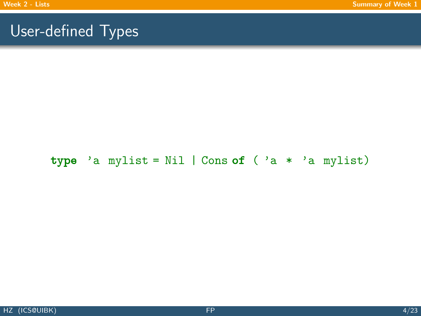#### type 'a mylist = Nil | Cons of ( 'a \* 'a mylist)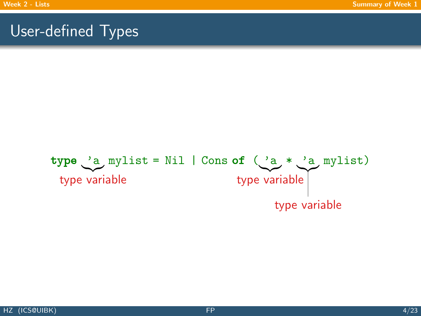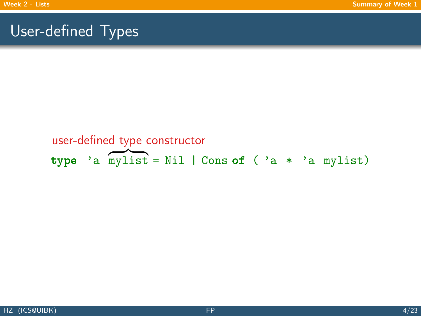### type 'a  $m$ ylist = Nil | Cons of ( 'a \* 'a mylist) user-defined type constructor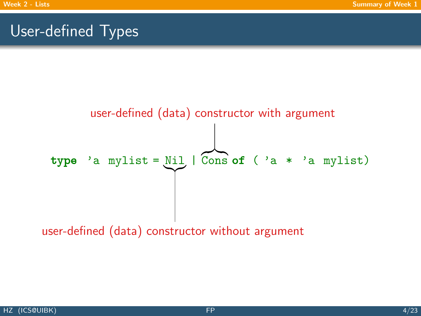

user-defined (data) constructor without argument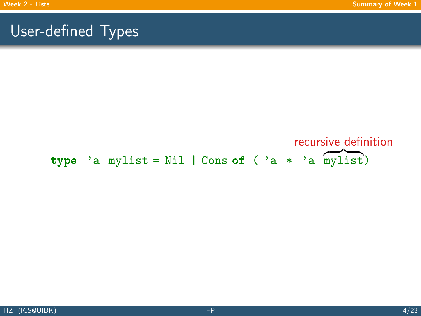### type 'a mylist = Nil | Cons of ( 'a \* 'a mylist) recursive definition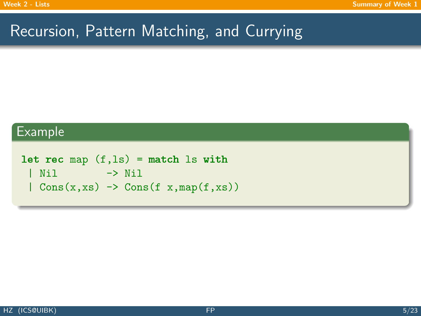## Recursion, Pattern Matching, and Currying

#### Example

```
let rec map (f, ls) = match ls with| Nil -> Nil
 | Cons(x,xs) \rightarrow Cons(f x,map(f,xs))
```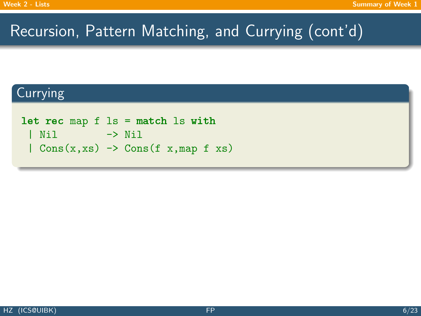## Recursion, Pattern Matching, and Currying (cont'd)

### Currying

```
let rec map f ls = match ls with
 | Nil -> Nil
 | Cons(x,xs) \rightarrow Cons(f x,map f xs)
```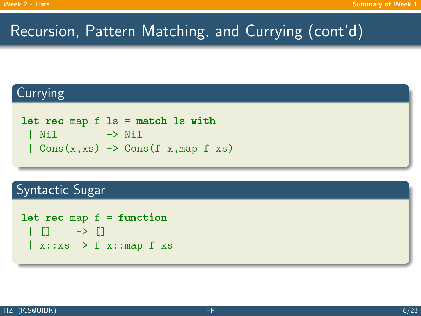# Recursion, Pattern Matching, and Currying (cont'd)

### **Currying**

```
let rec map f ls = match ls with
 | Nil -> Nil
 | Cons(x,xs) \rightarrow Cons(f x,map f xs)
```
#### Syntactic Sugar

```
let rec map f = function| [] -> []
 \vert x::xs \rightarrow f x::map f xs
```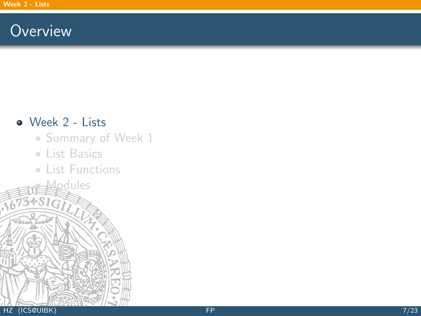### **Overview**

#### [Week 2 - Lists](#page-1-0)

- [Summary of Week 1](#page-2-0)
- [List Basics](#page-13-0)

**[Modules](#page-43-0)** 

**• [List Functions](#page-18-0)**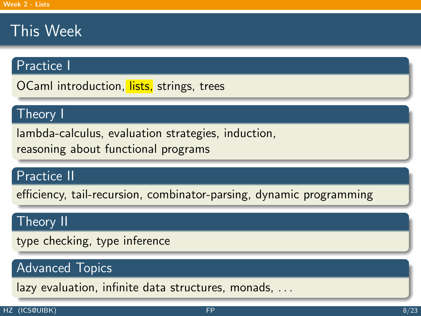## This Week

#### Practice I

OCaml introduction, lists, strings, trees

#### Theory I

lambda-calculus, evaluation strategies, induction, reasoning about functional programs

### Practice II

efficiency, tail-recursion, combinator-parsing, dynamic programming

#### Theory II

type checking, type inference

### Advanced Topics

lazy evaluation, infinite data structures, monads, . . .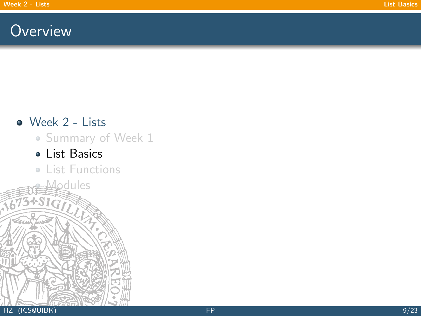### <span id="page-13-0"></span>**Overview**

#### • [Week 2 - Lists](#page-1-0)

#### • [Summary of Week 1](#page-2-0)

#### [List Basics](#page-13-0)

[Modules](#page-43-0)

**• [List Functions](#page-18-0)**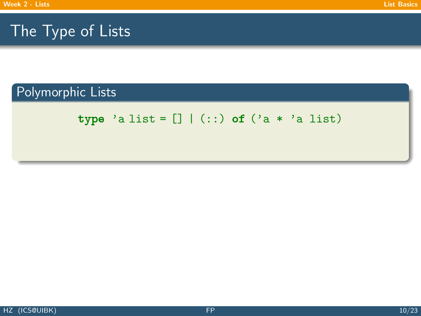$$
\text{type 'a list} = [] | (:) \text{ of ('a * 'a list)}
$$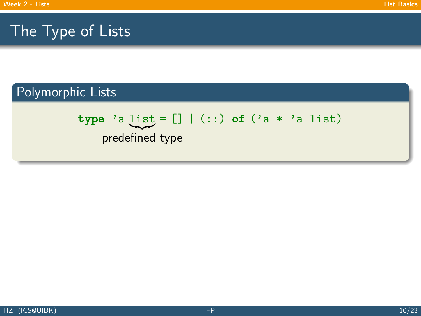$$
\text{type 'a list} = [] | (:) \text{ of ('a * 'a list)}
$$
\n
$$
\text{predefined type}
$$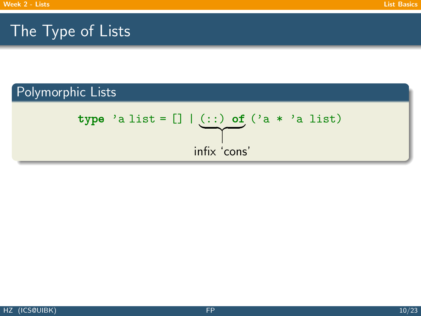type 'a list = [] | 
$$
(::)
$$
 of ('a \* 'a list)  
infix 'cons'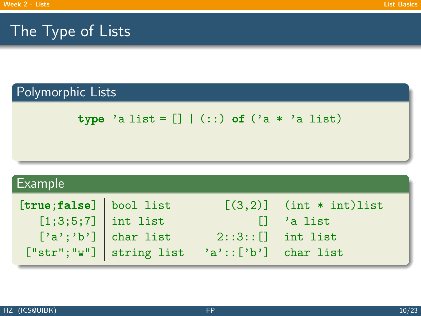$$
\text{type 'a list} = [] | (:) \text{ of ('a * 'a list)}
$$

| Example                |                             |                                  |                           |  |
|------------------------|-----------------------------|----------------------------------|---------------------------|--|
| [true;false] bool list |                             |                                  | $[(3,2)]$ (int * int)list |  |
| $[1;3;5;7]$ int list   |                             |                                  | $\Box$ 'a list            |  |
|                        | $[\cdot a'; 'b']$ char list | $2::3::[]$ int list              |                           |  |
|                        | $['str"; "w"]$ string list  | $'\text{a'}::[\n' b']$ char list |                           |  |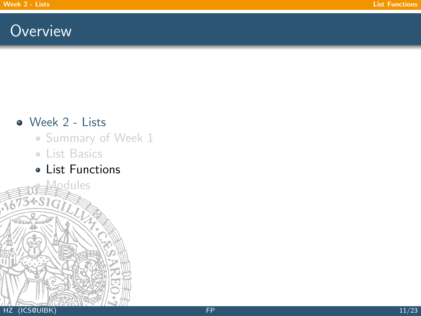## <span id="page-18-0"></span>**Overview**

### [Week 2 - Lists](#page-1-0)

- [Summary of Week 1](#page-2-0)
- [List Basics](#page-13-0)

**[Modules](#page-43-0)** 

[List Functions](#page-18-0)

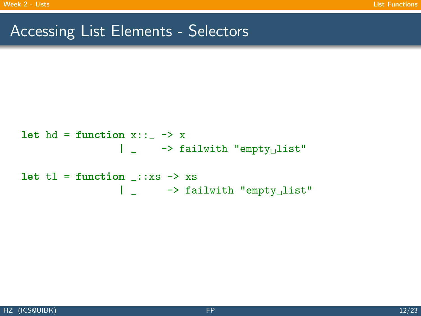## Accessing List Elements - Selectors

let hd = function x::\_ -> x | \_ -> failwith "empty list" let tl = function \_::xs -> xs | \_ -> failwith "empty list"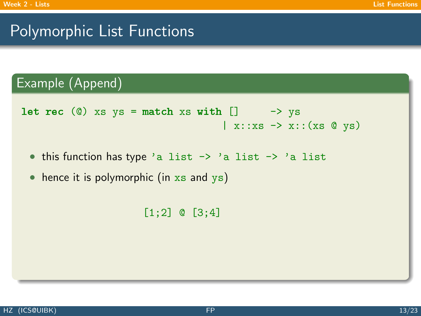### Example (Append)

```
let rec (0) xs ys = match xs with [] -> ys
                                        \vert x::xs \rightarrow x::(xs \circ ys)
```
- this function has type 'a list -> 'a list -> 'a list
- hence it is polymorphic (in  $xs$  and  $ys$ )

```
[1;2] @ [3;4]
```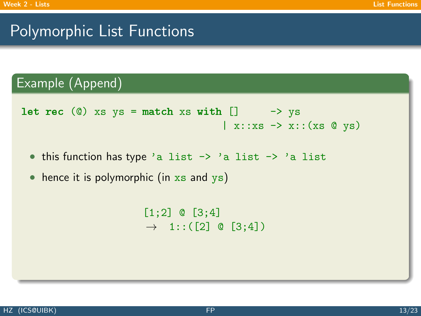### Example (Append)

```
let rec (0) xs ys = match xs with [] -> ys
                                        \vert x::xs \rightarrow x::(xs \circ ys)
```
• this function has type 'a list -> 'a list -> 'a list

• hence it is polymorphic (in  $xs$  and  $ys$ )

 $[1;2]$  @  $[3;4]$  $\rightarrow$  1:: ([2] © [3;4])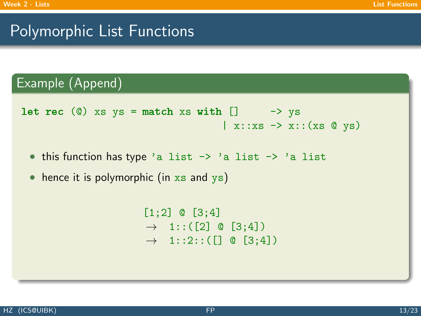### Example (Append)

```
let rec (0) xs ys = match xs with [] -> ys
                                        \vert x::xs \rightarrow x::(xs \circ ys)
```
• this function has type 'a list -> 'a list -> 'a list

• hence it is polymorphic (in  $xs$  and  $ys$ )

 $[1;2]$  @  $[3;4]$  $\rightarrow$  1:: ([2] @ [3;4])  $\rightarrow$  1::2::([] @ [3;4])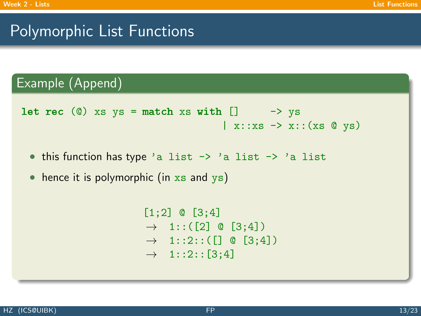### Example (Append)

```
let rec (0) xs ys = match xs with [] -> ys
                                        \vert x::xs \rightarrow x::(xs \circ ys)
```
• this function has type 'a list -> 'a list -> 'a list

 $\bullet$  hence it is polymorphic (in  $xs$  and  $ys$ )

```
[1;2] @ [3;4]\rightarrow 1:: ([2] © [3;4])
\rightarrow 1::2::([] @ [3;4])
\rightarrow 1::2::[3;4]
```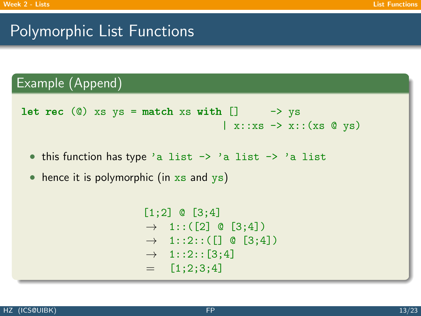### Example (Append)

```
let rec (0) xs ys = match xs with [] -> ys
                                        \vert x::xs \rightarrow x::(xs \circ ys)
```
• this function has type 'a list -> 'a list -> 'a list

 $\bullet$  hence it is polymorphic (in  $xs$  and  $ys$ )

```
[1;2] @ [3;4]\rightarrow 1:: ([2] © [3;4])
\rightarrow 1::2::([] @ [3;4])
\rightarrow 1::2::[3;4]
= [1;2;3;4]
```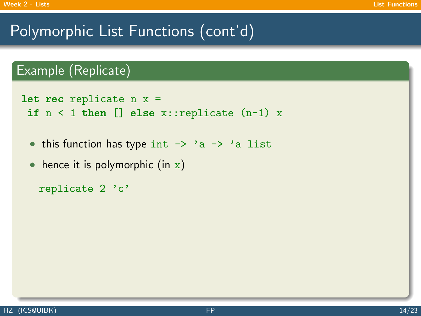```
let rec replicate n x =if n < 1 then [] else x::replicate (n-1) x
```
- this function has type int  $\rightarrow$  'a  $\rightarrow$  'a list
- hence it is polymorphic (in  $x$ )

```
replicate 2 'c'
```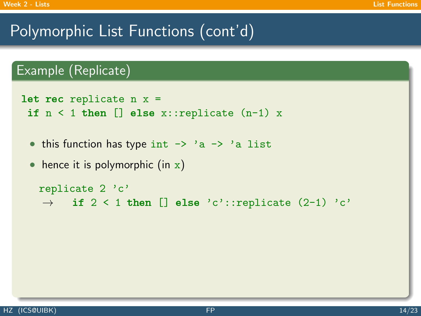```
let rec replicate n x =if n < 1 then [] else x::replicate (n-1) x
```
- this function has type int  $\rightarrow$  'a  $\rightarrow$  'a list
- hence it is polymorphic (in  $x$ )

```
replicate 2 'c'
\rightarrow if 2 < 1 then [] else 'c'::replicate (2-1) 'c'
```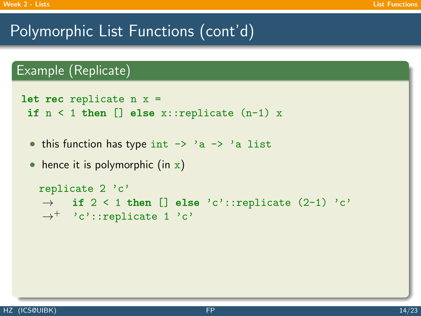```
let rec replicate n x =if n < 1 then [] else x::replicate (n-1) x
```
- this function has type int  $\rightarrow$  'a  $\rightarrow$  'a list
- hence it is polymorphic (in  $x$ )

```
replicate 2 'c'
\rightarrow if 2 < 1 then [] else 'c'::replicate (2-1) 'c'
\rightarrow^+ 'c'::replicate 1'c'
```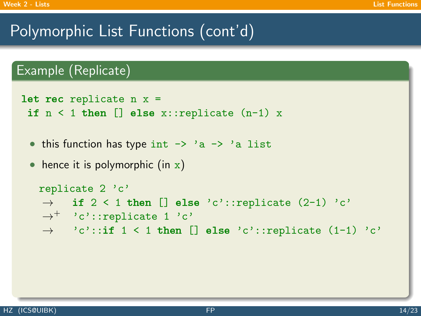```
let rec replicate n x =if n < 1 then [] else x::replicate (n-1) x
```
- this function has type int  $\rightarrow$  'a  $\rightarrow$  'a list
- hence it is polymorphic (in  $x$ )

```
replicate 2 'c'
\rightarrow if 2 < 1 then [] else 'c'::replicate (2-1) 'c'
\rightarrow^+ 'c'::replicate 1'c'
\rightarrow 'c'::if 1 < 1 then [] else 'c'::replicate (1-1) 'c'
```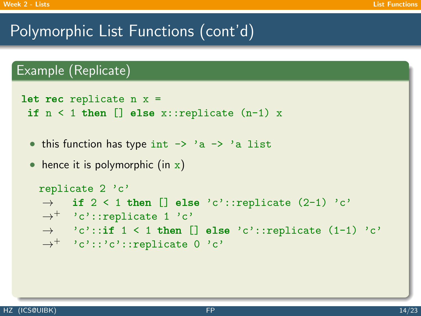```
let rec replicate n x =if n < 1 then [] else x::replicate (n-1) x
```
- this function has type int  $\rightarrow$  'a  $\rightarrow$  'a list
- hence it is polymorphic (in  $x$ )

```
replicate 2 'c'
\rightarrow if 2 < 1 then [] else 'c'::replicate (2-1) 'c'
\rightarrow^+ 'c'::replicate 1'c'
\rightarrow 'c'::if 1 < 1 then [] else 'c'::replicate (1-1) 'c'
\rightarrow^+ 'c'::'c'::replicate 0 'c'
```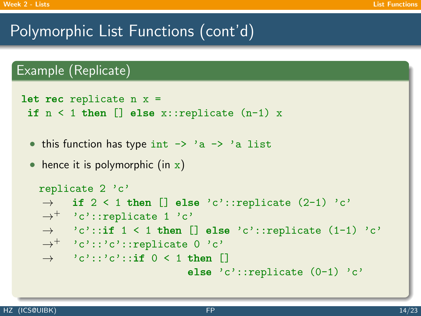```
let rec replicate n x =if n < 1 then [] else x::replicate (n-1) x
```
- this function has type int  $\rightarrow$  'a  $\rightarrow$  'a list
- hence it is polymorphic (in  $x$ )

```
replicate 2 'c'
\rightarrow if 2 < 1 then [] else 'c'::replicate (2-1) 'c'
\rightarrow^+ 'c'::replicate 1'c'
\rightarrow 'c'::if 1 < 1 then [] else 'c'::replicate (1-1) 'c'
\rightarrow^+ 'c'::'c'::replicate 0 'c'
\rightarrow 'c'::'c'::if 0 < 1 then []
                             else 'c'::replicate (0-1) 'c'
```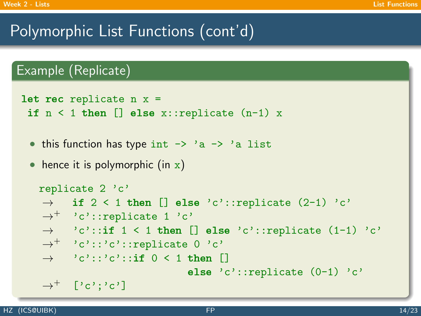```
let rec replicate n x =if n < 1 then [] else x::replicate (n-1) x
```
- this function has type int  $\rightarrow$  'a  $\rightarrow$  'a list
- hence it is polymorphic (in  $x$ )

```
replicate 2 'c'
\rightarrow if 2 < 1 then [] else 'c'::replicate (2-1) 'c'
\rightarrow^+ 'c'::replicate 1'c'
\rightarrow 'c'::if 1 < 1 then [] else 'c'::replicate (1-1) 'c'
\rightarrow^+ 'c'::'c'::replicate 0 'c'
\rightarrow 'c'::'c'::if 0 < 1 then []
                              else 'c'::replicate (0-1) 'c'
\rightarrow^+ ['c':'c']
```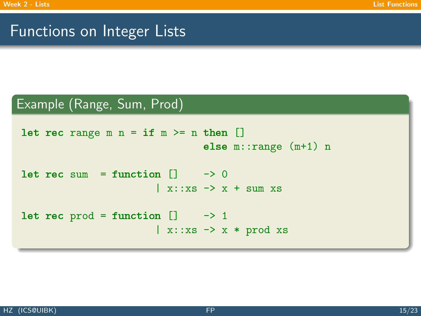### Functions on Integer Lists

#### Example (Range, Sum, Prod)

```
let rec range m n = if m >= n then []
                                         else m::range (m+1) n
let rec sum = function \begin{bmatrix} 1 & -2 \end{bmatrix}\vert x:: xs \rightarrow x + sum xs
let rec prod = function ] \longrightarrow 1\vert x:: xs \rightarrow x * prod xs
```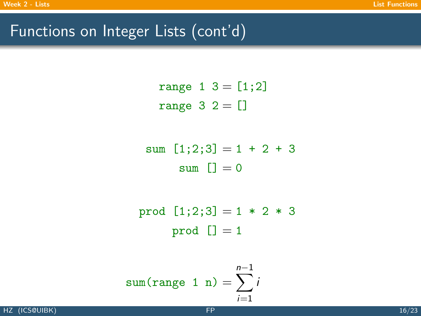## Functions on Integer Lists (cont'd)

range 1 3 = [1;2] range 3 2 = []

sum 
$$
[1;2;3] = 1 + 2 + 3
$$
  
sum  $[]=0$ 

$$
prod [1;2;3] = 1 * 2 * 3
$$
  
prod [j] = 1

sum(range 1 n) = 
$$
\sum_{i=1}^{n-1} i
$$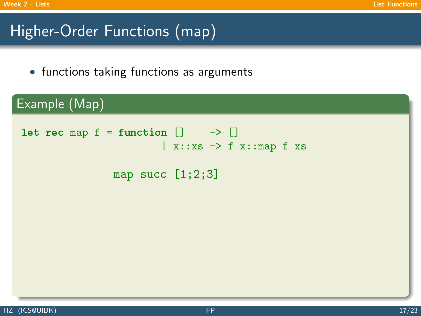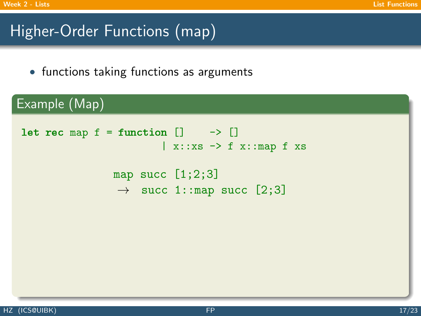```
Example (Map)
let rec map f = function ] -> []
                           \vert x::xs \rightarrow f x::map f xs
                 map succ [1;2;3]\rightarrow succ 1::map succ [2;3]
```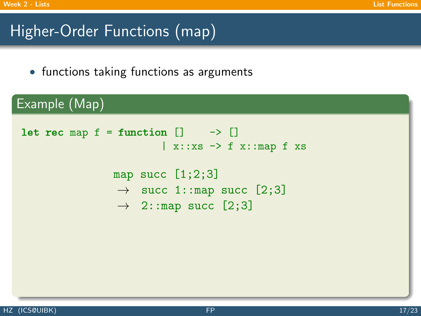```
Example (Map)
let rec map f = function ] -> []
                           \vert x::xs \rightarrow f x::map f xs
                  map succ [1;2;3]\rightarrow succ 1::map succ [2;3]
                   \rightarrow 2::map succ [2;3]
```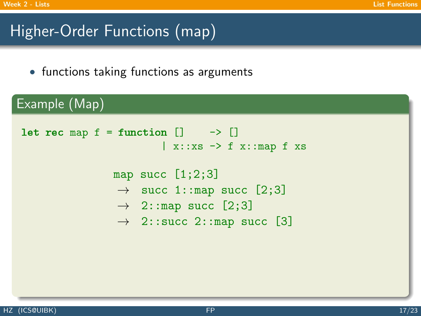```
Example (Map)
 let rec map f = function ] -> []
                            \vert x::xs \rightarrow f x::map f xs
                  map succ [1;2;3]\rightarrow succ 1::map succ [2;3]
                   \rightarrow 2::map succ [2;3]
                   \rightarrow 2::succ 2::map succ [3]
```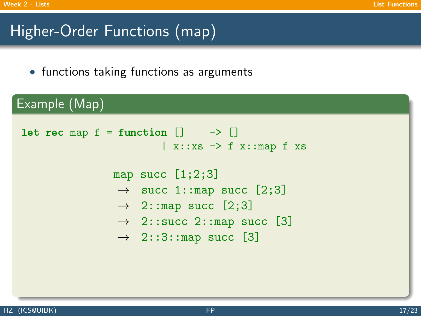```
Example (Map)
 let rec map f = function ] -> []
                            \vert x::xs \rightarrow f x::map f xs
                  map succ [1;2;3]\rightarrow succ 1::map succ [2;3]
                   \rightarrow 2::map succ [2;3]
                   \rightarrow 2::succ 2::map succ [3]
                   \rightarrow 2::3::map succ [3]
```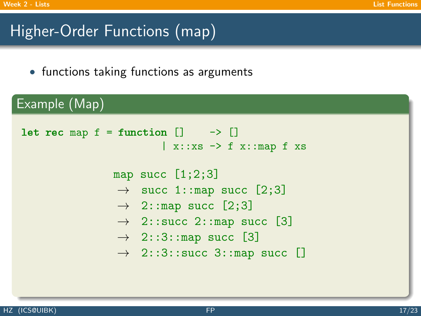```
Example (Map)
 let rec map f = function ] -> []
                            \vert x::xs \rightarrow f x::map f xs
                  map succ [1;2;3]\rightarrow succ 1::map succ [2;3]
                   \rightarrow 2::map succ [2;3]
                   \rightarrow 2::succ 2::map succ [3]
                   \rightarrow 2::3::map succ [3]
                   \rightarrow 2::3::succ 3::map succ []
```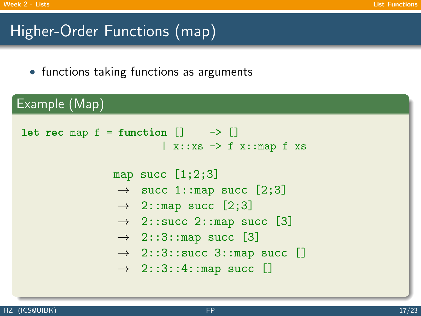```
Example (Map)
 let rec map f = function ] -> []
                             \vert x::xs \rightarrow f x::map f xs
                   map succ [1;2;3]\rightarrow succ 1::map succ [2;3]
                   \rightarrow 2::map succ [2;3]
                   \rightarrow 2::succ 2::map succ [3]
                   \rightarrow 2::3::map succ [3]
                   \rightarrow 2::3::succ 3::map succ []
                   \rightarrow 2::3::4::map succ []
```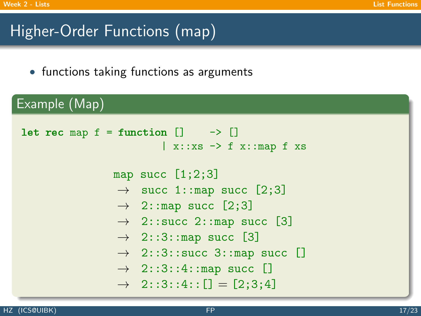```
Example (Map)
 let rec map f = function ] -> []
                             \vert x::xs \rightarrow f x::map f xs
                   map succ [1;2;3]\rightarrow succ 1::map succ [2;3]
                    \rightarrow 2::map succ [2;3]
                    \rightarrow 2::succ 2::map succ [3]
                    \rightarrow 2::3::map succ [3]
                    \rightarrow 2::3::succ 3::map succ []
                    \rightarrow 2::3::4::map succ []
                    \rightarrow 2::3::4:: [] = [2;3;4]
```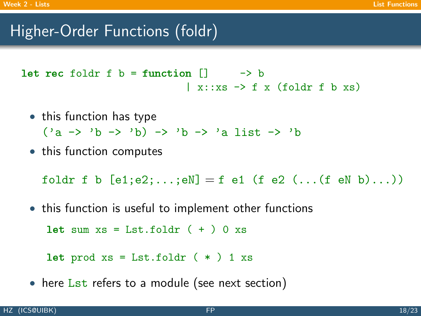## Higher-Order Functions (foldr)

let rec foldr f  $b =$  function  $\begin{bmatrix} 1 & -b \\ 0 & -c \end{bmatrix}$  $\vert$  x::xs  $\rightarrow$  f x (foldr f b xs)

- this function has type  $('a \rightarrow 'b \rightarrow 'b) \rightarrow 'b \rightarrow 'a$  list  $\rightarrow 'b$
- this function computes

foldr f b  $[e1; e2; \dots; eN] = f$  e1 (f e2  $(\dots (f \text{ eN b}) \dots)$ )

• this function is useful to implement other functions

let sum  $xs = List.foldr (+ ) 0 xs$ 

let prod  $xs = List.floatdr$  (  $*)$  1  $xs$ 

• here Lst refers to a module (see next section)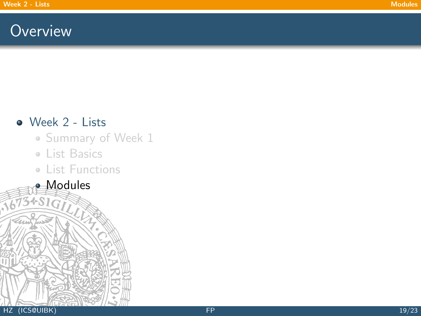## <span id="page-43-0"></span>**Overview**

### • [Week 2 - Lists](#page-1-0)

- [Summary of Week 1](#page-2-0)
- [List Basics](#page-13-0)
- **[List Functions](#page-18-0)**
- **[Modules](#page-43-0)**

 $75 + S1$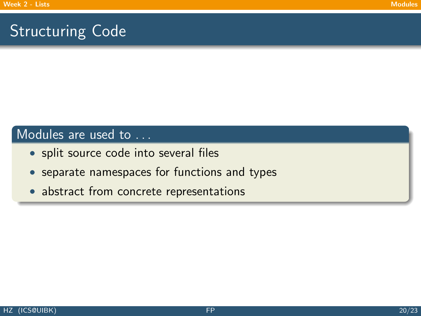## Structuring Code

#### Modules are used to ...

- split source code into several files
- separate namespaces for functions and types
- abstract from concrete representations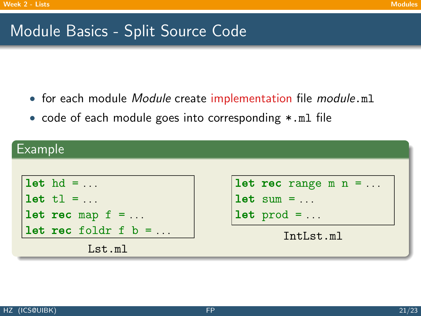# Module Basics - Split Source Code

- for each module *Module* create implementation file *module*.ml
- code of each module goes into corresponding \*.ml file

### $\overline{\mathsf{F}}$ vample

| LAULING                  |                                               |  |  |  |
|--------------------------|-----------------------------------------------|--|--|--|
|                          |                                               |  |  |  |
| $let hd = $              | <b>let rec</b> range $m = $                   |  |  |  |
| $let t1 = $              | $ $ let sum = $\ldots$                        |  |  |  |
| let rec map $f = $       | $\vert \text{let } \text{prod} = \dots \vert$ |  |  |  |
| $let$ rec foldr f $b = $ | IntLst.ml                                     |  |  |  |
| Lst.m1                   |                                               |  |  |  |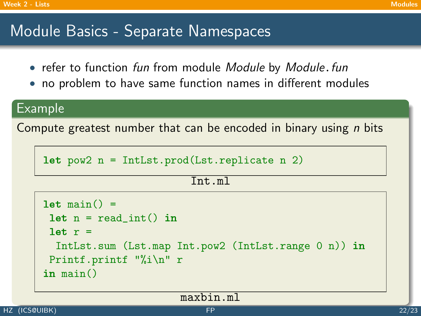# Module Basics - Separate Namespaces

- refer to function fun from module Module by Module.fun
- no problem to have same function names in different modules

### Example

Compute greatest number that can be encoded in binary using  $n$  bits

```
let pow2 n = IntList.pop(dList.replicate n 2)
```

```
Int.ml
```

```
let \ min() =let n = read(int() inlet r =IntLst.sum (Lst.map Int.pow2 (IntLst.range 0 n)) in
Printf.printf "%i\n" r
in main()
```